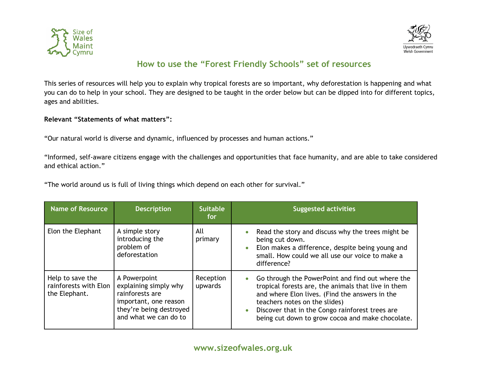



## **How to use the "Forest Friendly Schools" set of resources**

This series of resources will help you to explain why tropical forests are so important, why deforestation is happening and what you can do to help in your school. They are designed to be taught in the order below but can be dipped into for different topics, ages and abilities.

## **Relevant "Statements of what matters":**

"Our natural world is diverse and dynamic, influenced by processes and human actions."

"Informed, self-aware citizens engage with the challenges and opportunities that face humanity, and are able to take considered and ethical action."

"The world around us is full of living things which depend on each other for survival."

| <b>Name of Resource</b>                                    | <b>Description</b>                                                                                                                    | <b>Suitable</b><br>for: | <b>Suggested activities</b>                                                                                                                                                                                                                                                                                                 |
|------------------------------------------------------------|---------------------------------------------------------------------------------------------------------------------------------------|-------------------------|-----------------------------------------------------------------------------------------------------------------------------------------------------------------------------------------------------------------------------------------------------------------------------------------------------------------------------|
| Elon the Elephant                                          | A simple story<br>introducing the<br>problem of<br>deforestation                                                                      | All<br>primary          | Read the story and discuss why the trees might be<br>$\bullet$<br>being cut down.<br>Elon makes a difference, despite being young and<br>$\bullet$<br>small. How could we all use our voice to make a<br>difference?                                                                                                        |
| Help to save the<br>rainforests with Elon<br>the Elephant. | A Powerpoint<br>explaining simply why<br>rainforests are<br>important, one reason<br>they're being destroyed<br>and what we can do to | Reception<br>upwards    | Go through the PowerPoint and find out where the<br>$\bullet$<br>tropical forests are, the animals that live in them<br>and where Elon lives. (Find the answers in the<br>teachers notes on the slides)<br>Discover that in the Congo rainforest trees are<br>$\bullet$<br>being cut down to grow cocoa and make chocolate. |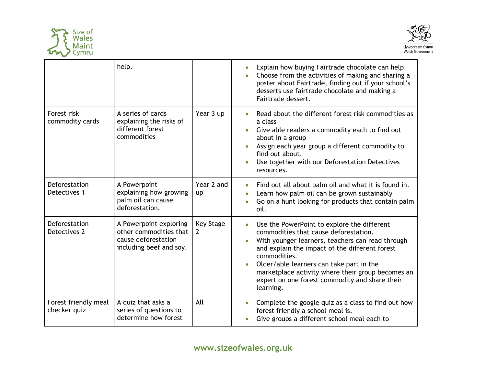



|                                      | help.                                                                                              |                                   | Explain how buying Fairtrade chocolate can help.<br>$\bullet$<br>Choose from the activities of making and sharing a<br>poster about Fairtrade, finding out if your school's<br>desserts use fairtrade chocolate and making a<br>Fairtrade dessert.                                                                                                                                                                |
|--------------------------------------|----------------------------------------------------------------------------------------------------|-----------------------------------|-------------------------------------------------------------------------------------------------------------------------------------------------------------------------------------------------------------------------------------------------------------------------------------------------------------------------------------------------------------------------------------------------------------------|
| Forest risk<br>commodity cards       | A series of cards<br>explaining the risks of<br>different forest<br>commodities                    | Year 3 up                         | Read about the different forest risk commodities as<br>$\bullet$<br>a class<br>Give able readers a commodity each to find out<br>about in a group<br>Assign each year group a different commodity to<br>find out about.<br>Use together with our Deforestation Detectives<br>resources.                                                                                                                           |
| Deforestation<br>Detectives 1        | A Powerpoint<br>explaining how growing<br>palm oil can cause<br>deforestation.                     | Year 2 and<br><b>up</b>           | Find out all about palm oil and what it is found in.<br>$\bullet$<br>Learn how palm oil can be grown sustainably<br>Go on a hunt looking for products that contain palm<br>oil.                                                                                                                                                                                                                                   |
| Deforestation<br>Detectives 2        | A Powerpoint exploring<br>other commodities that<br>cause deforestation<br>including beef and soy. | <b>Key Stage</b><br>$\mathcal{L}$ | Use the PowerPoint to explore the different<br>$\bullet$<br>commodities that cause deforestation.<br>With younger learners, teachers can read through<br>$\bullet$<br>and explain the impact of the different forest<br>commodities.<br>Older/able learners can take part in the<br>$\bullet$<br>marketplace activity where their group becomes an<br>expert on one forest commodity and share their<br>learning. |
| Forest friendly meal<br>checker quiz | A quiz that asks a<br>series of questions to<br>determine how forest                               | All                               | Complete the google quiz as a class to find out how<br>$\bullet$<br>forest friendly a school meal is.<br>Give groups a different school meal each to                                                                                                                                                                                                                                                              |